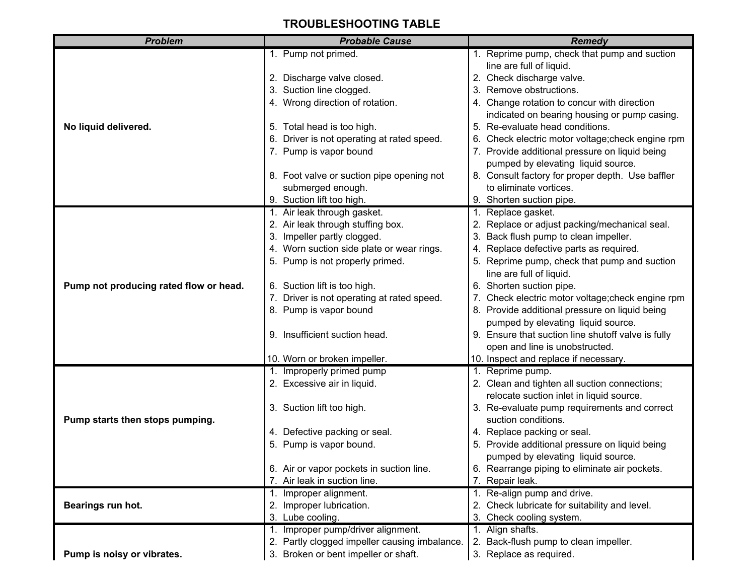## **TROUBLESHOOTING TABLE**

| <b>Problem</b>                         | <b>Probable Cause</b>                         | <b>Remedy</b>                                                                 |
|----------------------------------------|-----------------------------------------------|-------------------------------------------------------------------------------|
|                                        | 1. Pump not primed.                           | 1. Reprime pump, check that pump and suction                                  |
|                                        |                                               | line are full of liquid.                                                      |
|                                        | 2. Discharge valve closed.                    | 2. Check discharge valve.                                                     |
|                                        | 3. Suction line clogged.                      | 3. Remove obstructions.                                                       |
|                                        | 4. Wrong direction of rotation.               | 4. Change rotation to concur with direction                                   |
|                                        |                                               | indicated on bearing housing or pump casing.                                  |
| No liquid delivered.                   | 5. Total head is too high.                    | 5. Re-evaluate head conditions.                                               |
|                                        | 6. Driver is not operating at rated speed.    | 6. Check electric motor voltage; check engine rpm                             |
|                                        | 7. Pump is vapor bound                        | 7. Provide additional pressure on liquid being                                |
|                                        |                                               | pumped by elevating liquid source.                                            |
|                                        | 8. Foot valve or suction pipe opening not     | 8. Consult factory for proper depth. Use baffler                              |
|                                        | submerged enough.                             | to eliminate vortices.                                                        |
|                                        | 9. Suction lift too high.                     | 9. Shorten suction pipe.                                                      |
|                                        | 1. Air leak through gasket.                   | Replace gasket.<br>1.                                                         |
|                                        | 2. Air leak through stuffing box.             | 2. Replace or adjust packing/mechanical seal.                                 |
|                                        | 3. Impeller partly clogged.                   | 3. Back flush pump to clean impeller.                                         |
|                                        | 4. Worn suction side plate or wear rings.     | 4. Replace defective parts as required.                                       |
|                                        | 5. Pump is not properly primed.               | 5. Reprime pump, check that pump and suction                                  |
|                                        |                                               | line are full of liquid.                                                      |
| Pump not producing rated flow or head. | 6. Suction lift is too high.                  | 6. Shorten suction pipe.                                                      |
|                                        | 7. Driver is not operating at rated speed.    | 7. Check electric motor voltage; check engine rpm                             |
|                                        | 8. Pump is vapor bound                        | 8. Provide additional pressure on liquid being                                |
|                                        |                                               | pumped by elevating liquid source.                                            |
|                                        | 9. Insufficient suction head.                 | 9. Ensure that suction line shutoff valve is fully                            |
|                                        |                                               | open and line is unobstructed.                                                |
|                                        | 10. Worn or broken impeller.                  | 10. Inspect and replace if necessary.                                         |
|                                        | 1. Improperly primed pump                     | 1. Reprime pump.                                                              |
|                                        | 2. Excessive air in liquid.                   | 2. Clean and tighten all suction connections;                                 |
|                                        |                                               | relocate suction inlet in liquid source.                                      |
| Pump starts then stops pumping.        | 3. Suction lift too high.                     | 3. Re-evaluate pump requirements and correct<br>suction conditions.           |
|                                        | 4. Defective packing or seal.                 |                                                                               |
|                                        | 5. Pump is vapor bound.                       | 4. Replace packing or seal.<br>5. Provide additional pressure on liquid being |
|                                        |                                               | pumped by elevating liquid source.                                            |
|                                        | 6. Air or vapor pockets in suction line.      | 6. Rearrange piping to eliminate air pockets.                                 |
|                                        | 7. Air leak in suction line.                  | 7. Repair leak.                                                               |
|                                        | 1. Improper alignment.                        | 1. Re-align pump and drive.                                                   |
| Bearings run hot.                      | 2. Improper lubrication.                      | 2. Check lubricate for suitability and level.                                 |
|                                        | 3. Lube cooling.                              | 3. Check cooling system.                                                      |
|                                        | 1. Improper pump/driver alignment.            | 1. Align shafts.                                                              |
|                                        | 2. Partly clogged impeller causing imbalance. | 2. Back-flush pump to clean impeller.                                         |
| Pump is noisy or vibrates.             | 3. Broken or bent impeller or shaft.          | 3. Replace as required.                                                       |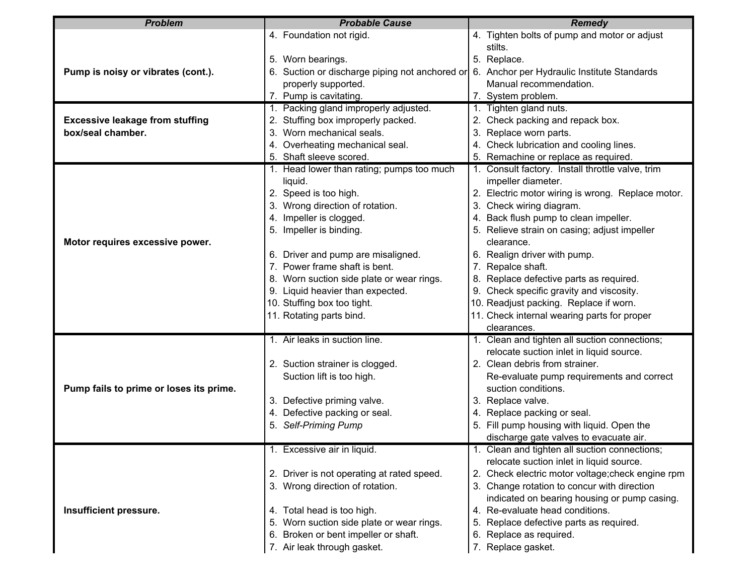| <b>Problem</b>                          | <b>Probable Cause</b>                          | <b>Remedy</b>                                     |
|-----------------------------------------|------------------------------------------------|---------------------------------------------------|
|                                         | 4. Foundation not rigid.                       | 4. Tighten bolts of pump and motor or adjust      |
|                                         |                                                | stilts.                                           |
|                                         | 5. Worn bearings.                              | 5. Replace.                                       |
| Pump is noisy or vibrates (cont.).      | 6. Suction or discharge piping not anchored or | 6. Anchor per Hydraulic Institute Standards       |
|                                         | properly supported.                            | Manual recommendation.                            |
|                                         | 7. Pump is cavitating.                         | 7. System problem.                                |
|                                         | 1. Packing gland improperly adjusted.          | 1. Tighten gland nuts.                            |
| <b>Excessive leakage from stuffing</b>  | 2. Stuffing box improperly packed.             | 2. Check packing and repack box.                  |
| box/seal chamber.                       | 3. Worn mechanical seals.                      | 3. Replace worn parts.                            |
|                                         | 4. Overheating mechanical seal.                | 4. Check lubrication and cooling lines.           |
|                                         | 5. Shaft sleeve scored.                        | 5. Remachine or replace as required.              |
|                                         | 1. Head lower than rating; pumps too much      | 1. Consult factory. Install throttle valve, trim  |
|                                         | liquid.                                        | impeller diameter.                                |
|                                         | 2. Speed is too high.                          | 2. Electric motor wiring is wrong. Replace motor. |
|                                         | 3. Wrong direction of rotation.                | 3. Check wiring diagram.                          |
|                                         | 4. Impeller is clogged.                        | 4. Back flush pump to clean impeller.             |
|                                         | 5. Impeller is binding.                        | 5. Relieve strain on casing; adjust impeller      |
| Motor requires excessive power.         |                                                | clearance.                                        |
|                                         | 6. Driver and pump are misaligned.             | 6. Realign driver with pump.                      |
|                                         | 7. Power frame shaft is bent.                  | 7. Repalce shaft.                                 |
|                                         | 8. Worn suction side plate or wear rings.      | 8. Replace defective parts as required.           |
|                                         | 9. Liquid heavier than expected.               | 9. Check specific gravity and viscosity.          |
|                                         | 10. Stuffing box too tight.                    | 10. Readjust packing. Replace if worn.            |
|                                         | 11. Rotating parts bind.                       | 11. Check internal wearing parts for proper       |
|                                         |                                                | clearances.                                       |
|                                         | 1. Air leaks in suction line.                  | 1. Clean and tighten all suction connections;     |
|                                         |                                                | relocate suction inlet in liquid source.          |
|                                         | 2. Suction strainer is clogged.                | 2. Clean debris from strainer.                    |
|                                         | Suction lift is too high.                      | Re-evaluate pump requirements and correct         |
| Pump fails to prime or loses its prime. |                                                | suction conditions.                               |
|                                         | 3. Defective priming valve.                    | 3. Replace valve.                                 |
|                                         | 4. Defective packing or seal.                  | 4. Replace packing or seal.                       |
|                                         | 5. Self-Priming Pump                           | 5. Fill pump housing with liquid. Open the        |
|                                         |                                                | discharge gate valves to evacuate air.            |
|                                         | 1. Excessive air in liquid.                    | 1. Clean and tighten all suction connections;     |
|                                         |                                                | relocate suction inlet in liquid source.          |
|                                         | 2. Driver is not operating at rated speed.     | 2. Check electric motor voltage; check engine rpm |
|                                         | 3. Wrong direction of rotation.                | 3. Change rotation to concur with direction       |
|                                         |                                                | indicated on bearing housing or pump casing.      |
| Insufficient pressure.                  | 4. Total head is too high.                     | 4. Re-evaluate head conditions.                   |
|                                         | 5. Worn suction side plate or wear rings.      | 5. Replace defective parts as required.           |
|                                         | 6. Broken or bent impeller or shaft.           | 6. Replace as required.                           |
|                                         | 7. Air leak through gasket.                    | 7. Replace gasket.                                |